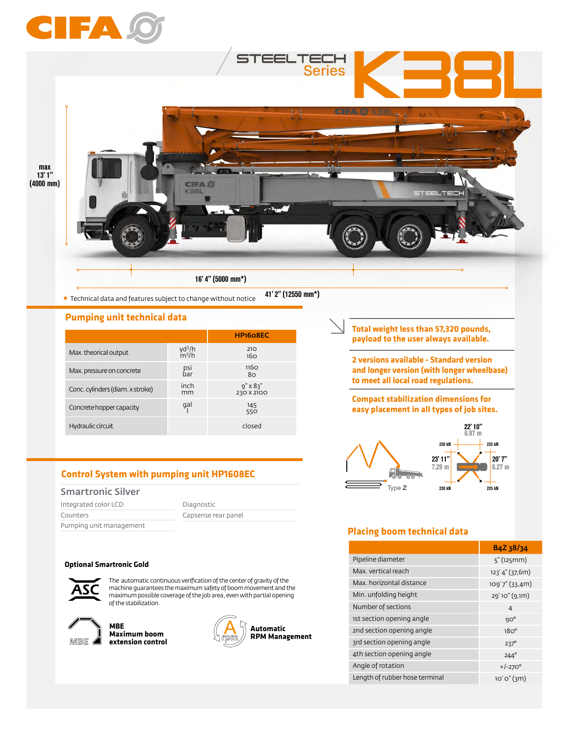



**\*** Technical data and features subject to change without notice

41' 2" (12550 mm\*)

#### **Pumping unit technical data**

|                                  |                                         | HP <sub>1608EC</sub>            |
|----------------------------------|-----------------------------------------|---------------------------------|
| Max. theorical output            | yd <sup>3</sup> /h<br>m <sup>3</sup> /h | 210<br>16 <sub>O</sub>          |
| Max. pressure on concrete        | psi<br>bar                              | 116 <sub>O</sub><br>80          |
| Conc. cylinders (diam. x stroke) | inch<br>mm                              | $9'' \times 83''$<br>230 X 2100 |
| Concrete hopper capacity         | gal                                     | 145<br>550                      |
| Hydraulic circuit                |                                         | closed                          |

# **Control System with pumping unit HP1608EC**

## Smartronic Silver

| Integrated color LCD    | Diagnostic          |
|-------------------------|---------------------|
| Counters                | Capsense rear panel |
| Pumping unit management |                     |

#### **Optional Smartronic Gold**



The automatic continuous verification of the center of gravity of the machine guarantees the maximum safety of boom movement and the maximum possible coverage of the job area, even with partial opening of the stabilization.



**MBE Maximum boom extension control**



**Total weight less than 57,320 pounds, payload to the user always available.** 

**2 versions available - Standard version and longer version (with longer wheelbase) to meet all local road regulations.**

**Compact stabilization dimensions for easy placement in all types of job sites.**



# **Placing boom technical data**

|                                | B <sub>4</sub> Z <sub>3</sub> 8/34 |
|--------------------------------|------------------------------------|
| Pipeline diameter              | 5''(125mm)                         |
| Max. vertical reach            | 123' 4" (37,6m)                    |
| Max, horizontal distance       | $109'7''$ (33,4m)                  |
| Min. unfolding height          | 29'10" (9,1m)                      |
| Number of sections             | 4                                  |
| 1st section opening angle      | $9O^{\circ}$                       |
| 2nd section opening angle      | 18O <sup>o</sup>                   |
| 3rd section opening angle      | $237^\circ$                        |
| 4th section opening angle      | $244^\circ$                        |
| Angle of rotation              | $+/-270^{\circ}$                   |
| Length of rubber hose terminal | $10'$ 0" $(3m)$                    |